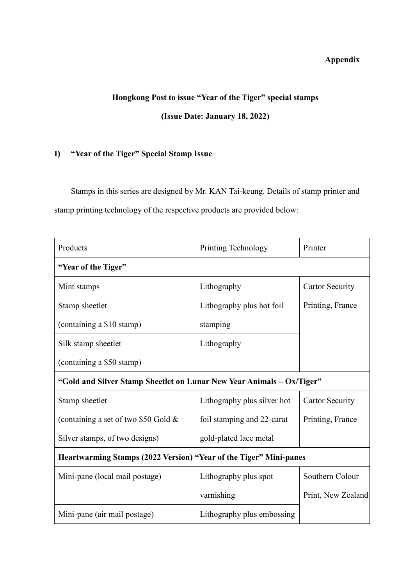### **Appendix**

# **Hongkong Post to issue "Year of the Tiger" special stamps (Issue Date: January 18, 2022)**

## **I) "Year of the Tiger" Special Stamp Issue**

Stamps in this series are designed by Mr. KAN Tai-keung. Details of stamp printer and stamp printing technology of the respective products are provided below:

| Products                                                              | Printing Technology         | Printer                |  |  |  |
|-----------------------------------------------------------------------|-----------------------------|------------------------|--|--|--|
| "Year of the Tiger"                                                   |                             |                        |  |  |  |
| Mint stamps                                                           | Lithography                 | <b>Cartor Security</b> |  |  |  |
| Stamp sheetlet                                                        | Lithography plus hot foil   | Printing, France       |  |  |  |
| (containing a \$10 stamp)                                             | stamping                    |                        |  |  |  |
| Silk stamp sheetlet                                                   | Lithography                 |                        |  |  |  |
| (containing a \$50 stamp)                                             |                             |                        |  |  |  |
| "Gold and Silver Stamp Sheetlet on Lunar New Year Animals - Ox/Tiger" |                             |                        |  |  |  |
| Stamp sheetlet                                                        | Lithography plus silver hot | <b>Cartor Security</b> |  |  |  |
| (containing a set of two \$50 Gold $\&$                               | foil stamping and 22-carat  | Printing, France       |  |  |  |
| Silver stamps, of two designs)                                        | gold-plated lace metal      |                        |  |  |  |
| Heartwarming Stamps (2022 Version) "Year of the Tiger" Mini-panes     |                             |                        |  |  |  |
| Mini-pane (local mail postage)                                        | Lithography plus spot       | Southern Colour        |  |  |  |
|                                                                       | varnishing                  | Print, New Zealand     |  |  |  |
| Mini-pane (air mail postage)                                          | Lithography plus embossing  |                        |  |  |  |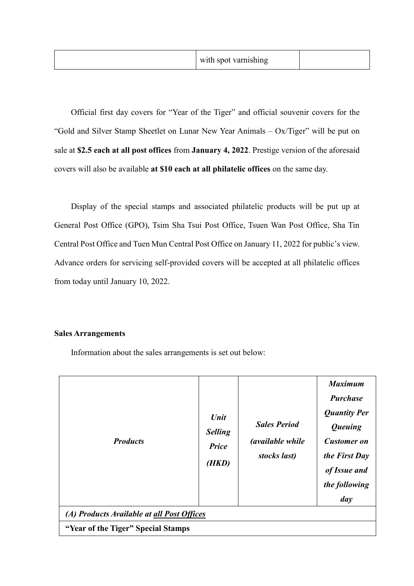| with spot varnishing |  |
|----------------------|--|
|----------------------|--|

Official first day covers for "Year of the Tiger" and official souvenir covers for the "Gold and Silver Stamp Sheetlet on Lunar New Year Animals – Ox/Tiger" will be put on sale at **\$2.5 each at all post offices** from **January 4, 2022**. Prestige version of the aforesaid covers will also be available **at \$10 each at all philatelic offices** on the same day.

Display of the special stamps and associated philatelic products will be put up at General Post Office (GPO), Tsim Sha Tsui Post Office, Tsuen Wan Post Office, Sha Tin Central Post Office and Tuen Mun Central Post Office on January 11, 2022 for public's view. Advance orders for servicing self-provided covers will be accepted at all philatelic offices from today until January 10, 2022.

#### **Sales Arrangements**

Information about the sales arrangements is set out below:

| <b>Products</b>                            | Unit<br><b>Selling</b><br><b>Price</b><br>(HKD) | <b>Sales Period</b><br><i>(available while)</i><br>stocks last) | <b>Maximum</b><br><b>Purchase</b><br><b>Quantity Per</b><br><b>Queuing</b><br><b>Customer</b> on<br>the First Day<br>of Issue and<br>the following<br>day |
|--------------------------------------------|-------------------------------------------------|-----------------------------------------------------------------|-----------------------------------------------------------------------------------------------------------------------------------------------------------|
| (A) Products Available at all Post Offices |                                                 |                                                                 |                                                                                                                                                           |
| "Year of the Tiger" Special Stamps         |                                                 |                                                                 |                                                                                                                                                           |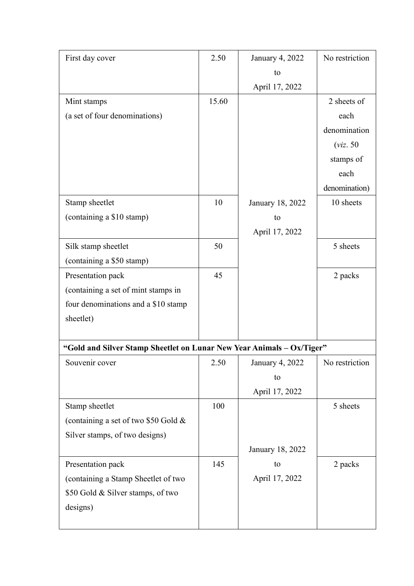| First day cover                                                       | 2.50  | January 4, 2022  | No restriction |
|-----------------------------------------------------------------------|-------|------------------|----------------|
|                                                                       |       | to               |                |
|                                                                       |       | April 17, 2022   |                |
| Mint stamps                                                           | 15.60 |                  | 2 sheets of    |
| (a set of four denominations)                                         |       |                  | each           |
|                                                                       |       |                  | denomination   |
|                                                                       |       |                  | (viz. 50)      |
|                                                                       |       |                  | stamps of      |
|                                                                       |       |                  | each           |
|                                                                       |       |                  | denomination)  |
| Stamp sheetlet                                                        | 10    | January 18, 2022 | 10 sheets      |
| (containing a \$10 stamp)                                             |       | to               |                |
|                                                                       |       | April 17, 2022   |                |
| Silk stamp sheetlet                                                   | 50    |                  | 5 sheets       |
| (containing a \$50 stamp)                                             |       |                  |                |
| Presentation pack                                                     | 45    |                  | 2 packs        |
| (containing a set of mint stamps in                                   |       |                  |                |
| four denominations and a \$10 stamp                                   |       |                  |                |
| sheetlet)                                                             |       |                  |                |
|                                                                       |       |                  |                |
| "Gold and Silver Stamp Sheetlet on Lunar New Year Animals - Ox/Tiger" |       |                  |                |
| Souvenir cover                                                        | 2.50  | January 4, 2022  | No restriction |
|                                                                       |       | to               |                |
|                                                                       |       | April 17, 2022   |                |
| Stamp sheetlet                                                        | 100   |                  | 5 sheets       |
| (containing a set of two \$50 Gold &                                  |       |                  |                |
| Silver stamps, of two designs)                                        |       |                  |                |
|                                                                       |       | January 18, 2022 |                |
| Presentation pack                                                     | 145   | to               | 2 packs        |
| (containing a Stamp Sheetlet of two                                   |       | April 17, 2022   |                |
| \$50 Gold & Silver stamps, of two                                     |       |                  |                |
| designs)                                                              |       |                  |                |
|                                                                       |       |                  |                |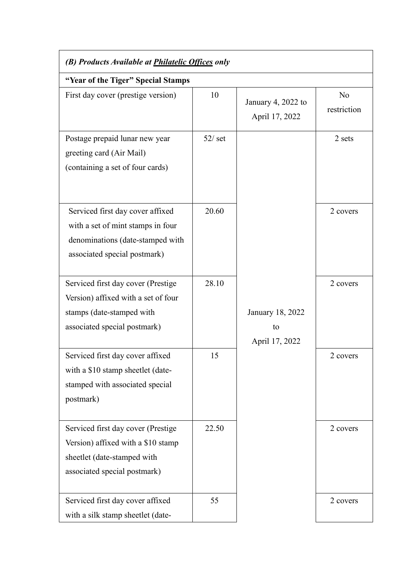| (B) Products Available at <i>Philatelic Offices</i> only                                                                                  |           |                                          |                               |  |
|-------------------------------------------------------------------------------------------------------------------------------------------|-----------|------------------------------------------|-------------------------------|--|
| "Year of the Tiger" Special Stamps                                                                                                        |           |                                          |                               |  |
| First day cover (prestige version)                                                                                                        | 10        | January 4, 2022 to<br>April 17, 2022     | N <sub>o</sub><br>restriction |  |
| Postage prepaid lunar new year<br>greeting card (Air Mail)<br>(containing a set of four cards)                                            | $52/$ set |                                          | 2 sets                        |  |
| Serviced first day cover affixed<br>with a set of mint stamps in four<br>denominations (date-stamped with<br>associated special postmark) | 20.60     |                                          | 2 covers                      |  |
| Serviced first day cover (Prestige<br>Version) affixed with a set of four<br>stamps (date-stamped with<br>associated special postmark)    | 28.10     | January 18, 2022<br>to<br>April 17, 2022 | 2 covers                      |  |
| Serviced first day cover affixed<br>with a \$10 stamp sheetlet (date-<br>stamped with associated special<br>postmark)                     | 15        |                                          | 2 covers                      |  |
| Serviced first day cover (Prestige<br>Version) affixed with a \$10 stamp<br>sheetlet (date-stamped with<br>associated special postmark)   | 22.50     |                                          | 2 covers                      |  |
| Serviced first day cover affixed<br>with a silk stamp sheetlet (date-                                                                     | 55        |                                          | 2 covers                      |  |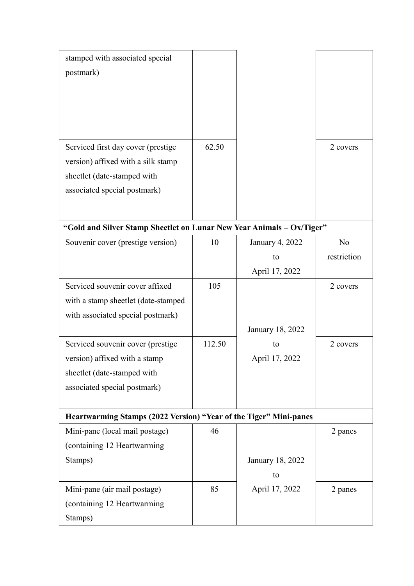| stamped with associated special                                       |        |                        |                |  |
|-----------------------------------------------------------------------|--------|------------------------|----------------|--|
| postmark)                                                             |        |                        |                |  |
|                                                                       |        |                        |                |  |
|                                                                       |        |                        |                |  |
|                                                                       |        |                        |                |  |
|                                                                       |        |                        |                |  |
| Serviced first day cover (prestige                                    | 62.50  |                        | 2 covers       |  |
| version) affixed with a silk stamp                                    |        |                        |                |  |
| sheetlet (date-stamped with                                           |        |                        |                |  |
| associated special postmark)                                          |        |                        |                |  |
|                                                                       |        |                        |                |  |
|                                                                       |        |                        |                |  |
| "Gold and Silver Stamp Sheetlet on Lunar New Year Animals - Ox/Tiger" |        |                        |                |  |
| Souvenir cover (prestige version)                                     | 10     | <b>January 4, 2022</b> | N <sub>o</sub> |  |
|                                                                       |        | to                     | restriction    |  |
|                                                                       |        | April 17, 2022         |                |  |
| Serviced souvenir cover affixed                                       | 105    |                        | 2 covers       |  |
| with a stamp sheetlet (date-stamped                                   |        |                        |                |  |
| with associated special postmark)                                     |        |                        |                |  |
|                                                                       |        | January 18, 2022       |                |  |
| Serviced souvenir cover (prestige                                     | 112.50 | to                     | 2 covers       |  |
| version) affixed with a stamp                                         |        | April 17, 2022         |                |  |
| sheetlet (date-stamped with                                           |        |                        |                |  |
| associated special postmark)                                          |        |                        |                |  |
|                                                                       |        |                        |                |  |
| Heartwarming Stamps (2022 Version) "Year of the Tiger" Mini-panes     |        |                        |                |  |
| Mini-pane (local mail postage)                                        | 46     |                        | 2 panes        |  |
| (containing 12 Heartwarming                                           |        |                        |                |  |
| Stamps)                                                               |        | January 18, 2022       |                |  |
|                                                                       |        | to                     |                |  |
| Mini-pane (air mail postage)                                          | 85     | April 17, 2022         | 2 panes        |  |
| (containing 12 Heartwarming                                           |        |                        |                |  |
| Stamps)                                                               |        |                        |                |  |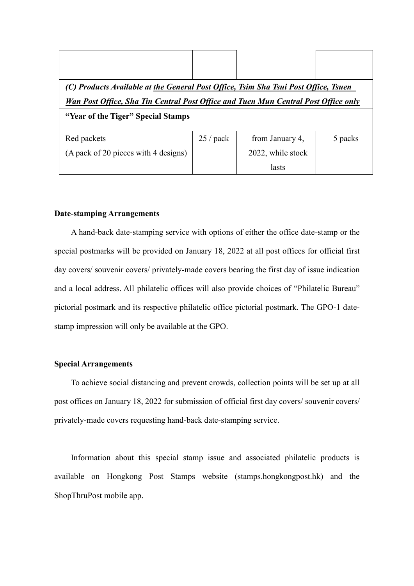| (C) Products Available at the General Post Office, Tsim Sha Tsui Post Office, Tsuen |            |                   |         |  |
|-------------------------------------------------------------------------------------|------------|-------------------|---------|--|
| Wan Post Office, Sha Tin Central Post Office and Tuen Mun Central Post Office only  |            |                   |         |  |
| "Year of the Tiger" Special Stamps                                                  |            |                   |         |  |
| Red packets                                                                         | $25/$ pack | from January 4,   | 5 packs |  |
| (A pack of 20 pieces with 4 designs)                                                |            | 2022, while stock |         |  |
|                                                                                     |            | lasts             |         |  |

#### **Date-stamping Arrangements**

A hand-back date-stamping service with options of either the office date-stamp or the special postmarks will be provided on January 18, 2022 at all post offices for official first day covers/ souvenir covers/ privately-made covers bearing the first day of issue indication and a local address. All philatelic offices will also provide choices of "Philatelic Bureau" pictorial postmark and its respective philatelic office pictorial postmark. The GPO-1 datestamp impression will only be available at the GPO.

#### **Special Arrangements**

To achieve social distancing and prevent crowds, collection points will be set up at all post offices on January 18, 2022 for submission of official first day covers/ souvenir covers/ privately-made covers requesting hand-back date-stamping service.

Information about this special stamp issue and associated philatelic products is available on Hongkong Post Stamps website (stamps.hongkongpost.hk) and the ShopThruPost mobile app.